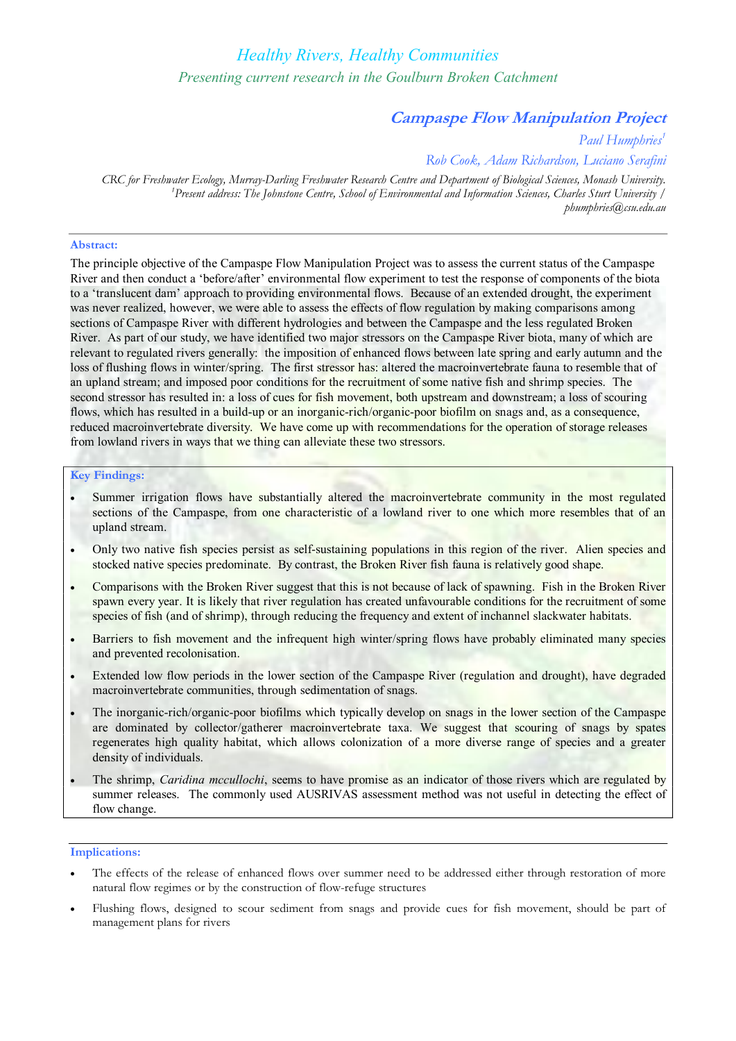# *Healthy Rivers, Healthy Communities Presenting current research in the Goulburn Broken Catchment*

# **Campaspe Flow Manipulation Project**

*Paul Humphries 1*

*Rob Cook, Adam Richardson, Luciano Serafini*

*CRC for Freshwater Ecology, Murray-Darling Freshwater Research Centre and Department of Biological Sciences, Monash University. <sup>1</sup>Present address: The Johnstone Centre, School of Environmental and Information Sciences, Charles Sturt University / phumphries@csu.edu.au*

## **Abstract:**

The principle objective of the Campaspe Flow Manipulation Project was to assess the current status of the Campaspe River and then conduct a 'before/after' environmental flow experiment to test the response of components of the biota to a 'translucent dam' approach to providing environmental flows. Because of an extended drought, the experiment was never realized, however, we were able to assess the effects of flow regulation by making comparisons among sections of Campaspe River with different hydrologies and between the Campaspe and the less regulated Broken River. As part of our study, we have identified two major stressors on the Campaspe River biota, many of which are relevant to regulated rivers generally: the imposition of enhanced flows between late spring and early autumn and the loss of flushing flows in winter/spring. The first stressor has: altered the macroinvertebrate fauna to resemble that of an upland stream; and imposed poor conditions for the recruitment of some native fish and shrimp species. The second stressor has resulted in: a loss of cues for fish movement, both upstream and downstream; a loss of scouring flows, which has resulted in a build-up or an inorganic-rich/organic-poor biofilm on snags and, as a consequence, reduced macroinvertebrate diversity. We have come up with recommendations for the operation of storage releases from lowland rivers in ways that we thing can alleviate these two stressors.

### **Key Findings:**

- Summer irrigation flows have substantially altered the macroinvertebrate community in the most regulated sections of the Campaspe, from one characteristic of a lowland river to one which more resembles that of an upland stream.
- · Only two native fish species persist as selfsustaining populations in this region of the river. Alien species and stocked native species predominate. By contrast, the Broken River fish fauna is relatively good shape.
- · Comparisons with the Broken River suggest that this is not because of lack of spawning. Fish in the Broken River spawn every year. It is likely that river regulation has created unfavourable conditions for the recruitment of some species of fish (and of shrimp), through reducing the frequency and extent of inchannel slackwater habitats.
- Barriers to fish movement and the infrequent high winter/spring flows have probably eliminated many species and prevented recolonisation.
- Extended low flow periods in the lower section of the Campaspe River (regulation and drought), have degraded macroinvertebrate communities, through sedimentation of snags.
- The inorganic-rich/organic-poor biofilms which typically develop on snags in the lower section of the Campaspe are dominated by collector/gatherer macroinvertebrate taxa. We suggest that scouring of snags by spates regenerates high quality habitat, which allows colonization of a more diverse range of species and a greater density of individuals.
- The shrimp, *Caridina mccullochi*, seems to have promise as an indicator of those rivers which are regulated by summer releases. The commonly used AUSRIVAS assessment method was not useful in detecting the effect of flow change.

### **Implications:**

- The effects of the release of enhanced flows over summer need to be addressed either through restoration of more natural flow regimes or by the construction of flow-refuge structures
- Flushing flows, designed to scour sediment from snags and provide cues for fish movement, should be part of management plans for rivers